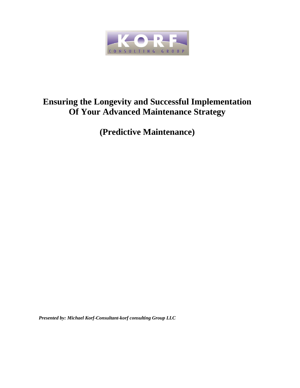

# **Ensuring the Longevity and Successful Implementation Of Your Advanced Maintenance Strategy**

**(Predictive Maintenance)**

*Presented by: Michael Korf-Consultant-korf consulting Group LLC*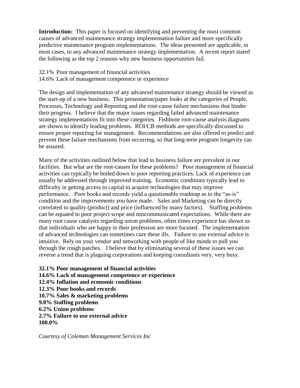**Introduction:** This paper is focused on identifying and preventing the most common causes of advanced maintenance strategy implementation failure and more specifically predictive maintenance program implementations. The ideas presented are applicable, in most cases, to any advanced maintenance strategy implementation. A recent report stated the following as the top 2 reasons why new business opportunities fail.

32.1% Poor management of financial activities

14.6% Lack of management competence or experience

The design and implementation of any advanced maintenance strategy should be viewed as the start-up of a new business. This presentation/paper looks at the categories of People, Processes, Technology and Reporting and the root-cause failure mechanisms that hinder their progress. I believe that the major issues regarding failed advanced maintenance strategy implementations fit into these categories. Fishbone root-cause analysis diagrams are shown to identify leading problems. ROI/CB methods are specifically discussed to ensure proper reporting for management. Recommendations are also offered to predict and prevent these failure mechanisms from occurring, so that long-term program longevity can be assured.

Many of the activities outlined below that lead to business failure are prevalent in our facilities. But what are the root-causes for these problems? Poor management of financial activities can typically be boiled down to poor reporting practices. Lack of experience can usually be addressed through improved training. Economic conditions typically lead to difficulty in getting access to capital to acquire technologies that may improve performance. Poor books and records yield a questionable roadmap as to the "as-is" condition and the improvements you have made. Sales and Marketing can be directly correlated to quality (product) and price (influenced by many factors). Staffing problems can be equated to poor project scope and miscommunicated expectations. While there are many root cause catalysts regarding union problems, often times experience has shown us that individuals who are happy in their profession are more focused. The implementation of advanced technologies can sometimes cure these ills. Failure to use external advice is intuitive. Rely on your vendor and networking with people of like minds to pull you through the rough patches. I believe that by eliminating several of these issues we can reverse a trend that is plaguing corporations and keeping consultants very, very busy.

**32.1% Poor management of financial activities 14.6% Lack of management competence or experience 12.4% Inflation and economic conditions 12.3% Poor books and records 10.7% Sales & marketing problems 9.0% Staffing problems 6.2% Union problems 2.7% Failure to use external advice 100.0%** 

*Courtesy of Coleman Management Services Inc*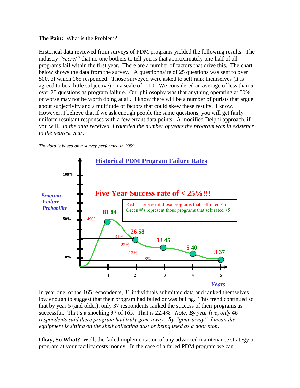#### **The Pain:** What is the Problem?

Historical data reviewed from surveys of PDM programs yielded the following results. The industry *"secret"* that no one bothers to tell you is that approximately one-half of all programs fail within the first year. There are a number of factors that drive this. The chart below shows the data from the survey. A questionnaire of 25 questions was sent to over 500, of which 165 responded. Those surveyed were asked to self rank themselves (it is agreed to be a little subjective) on a scale of 1-10. We considered an average of less than 5 over 25 questions as program failure. Our philosophy was that anything operating at 50% or worse may not be worth doing at all. I know there will be a number of purists that argue about subjectivity and a multitude of factors that could skew these results. I know. However, I believe that if we ask enough people the same questions, you will get fairly uniform resultant responses with a few errant data points. A modified Delphi approach, if you will*. In the data received, I rounded the number of years the program was in existence to the nearest year.*





In year one, of the 165 respondents, 81 individuals submitted data and ranked themselves low enough to suggest that their program had failed or was failing. This trend continued so that by year 5 (and older), only 37 respondents ranked the success of their programs as successful. That's a shocking 37 of 165. That is 22.4%. *Note: By year five, only 46 respondents said there program had truly gone away. By "gone away", I mean the equipment is sitting on the shelf collecting dust or being used as a door stop.* 

**Okay, So What?** Well, the failed implementation of any advanced maintenance strategy or program at your facility costs money. In the case of a failed PDM program we can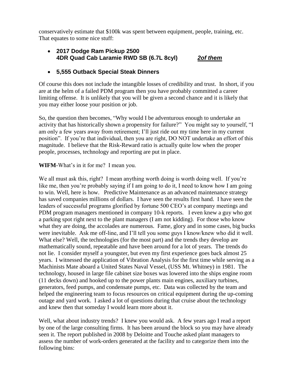conservatively estimate that \$100k was spent between equipment, people, training, etc. That equates to some nice stuff:

 **2017 Dodge Ram Pickup 2500 4DR Quad Cab Laramie RWD SB (6.7L 8cyl)** *2of them*

## **5,555 Outback Special Steak Dinners**

Of course this does not include the intangible losses of credibility and trust. In short, if you are at the helm of a failed PDM program then you have probably committed a career limiting offense. It is unlikely that you will be given a second chance and it is likely that you may either loose your position or job.

So, the question then becomes, "Why would I be adventurous enough to undertake an activity that has historically shown a propensity for failure?" You might say to yourself, "I am only a few years away from retirement; I'll just ride out my time here in my current position". If you're that individual, then you are right, DO NOT undertake an effort of this magnitude. I believe that the Risk-Reward ratio is actually quite low when the proper people, processes, technology and reporting are put in place.

## **WIFM**-What's in it for me? I mean you.

We all must ask this, right? I mean anything worth doing is worth doing well. If you're like me, then you're probably saying if I am going to do it, I need to know how I am going to win. Well, here is how. Predictive Maintenance as an advanced maintenance strategy has saved companies millions of dollars. I have seen the results first hand. I have seen the leaders of successful programs glorified by fortune 500 CEO's at company meetings and PDM program managers mentioned in company 10-k reports. I even knew a guy who got a parking spot right next to the plant managers (I am not kidding). For those who know what they are doing, the accolades are numerous. Fame, glory and in some cases, big bucks were inevitable. Ask me off-line, and I'll tell you some guys I know/knew who did it well. What else? Well, the technologies (for the most part) and the trends they develop are mathematically sound, repeatable and have been around for a lot of years. The trends do not lie. I consider myself a youngster, but even my first experience goes back almost 25 years. I witnessed the application of Vibration Analysis for the first time while serving as a Machinists Mate aboard a United States Naval Vessel, (USS Mt. Whitney) in 1981. The technology, housed in large file cabinet size boxes was lowered into the ships engine room (11 decks down) and hooked up to the power plants main engines, auxiliary turbines, generators, feed pumps, and condensate pumps, etc. Data was collected by the team and helped the engineering team to focus resources on critical equipment during the up-coming outage and yard work. I asked a lot of questions during that cruise about the technology and knew then that someday I would learn more about it.

Well, what about industry trends? I knew you would ask. A few years ago I read a report by one of the large consulting firms. It has been around the block so you may have already seen it. The report published in 2008 by Deloitte and Touche asked plant managers to assess the number of work-orders generated at the facility and to categorize them into the following bins: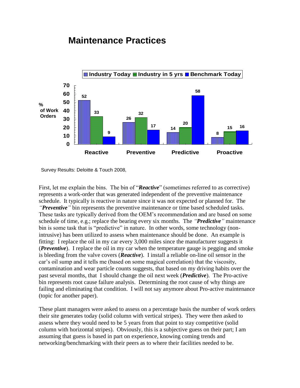## **Maintenance Practices**



Survey Results: Deloitte & Touch 2008,

First, let me explain the bins. The bin of "*Reactive*" (sometimes referred to as corrective) represents a work-order that was generated independent of the preventive maintenance schedule. It typically is reactive in nature since it was not expected or planned for. The *"Preventive"* bin represents the preventive maintenance or time based scheduled tasks. These tasks are typically derived from the OEM's recommendation and are based on some schedule of time, e.g.; replace the bearing every six months. The *"Predictive"* maintenance bin is some task that is "predictive" in nature. In other words, some technology (nonintrusive) has been utilized to assess when maintenance should be done. An example is fitting: I replace the oil in my car every 3,000 miles since the manufacturer suggests it (*Preventive*). I replace the oil in my car when the temperature gauge is pegging and smoke is bleeding from the valve covers (*Reactive*). I install a reliable on-line oil sensor in the car's oil sump and it tells me (based on some magical correlation) that the viscosity, contamination and wear particle counts suggests, that based on my driving habits over the past several months, that I should change the oil next week (*Predictive*). The Pro-active bin represents root cause failure analysis. Determining the root cause of why things are failing and eliminating that condition. I will not say anymore about Pro-active maintenance (topic for another paper).

These plant managers were asked to assess on a percentage basis the number of work orders their site generates today (solid column with vertical stripes). They were then asked to assess where they would need to be 5 years from that point to stay competitive (solid column with horizontal stripes). Obviously, this is a subjective guess on their part; I am assuming that guess is based in part on experience, knowing coming trends and networking/benchmarking with their peers as to where their facilities needed to be.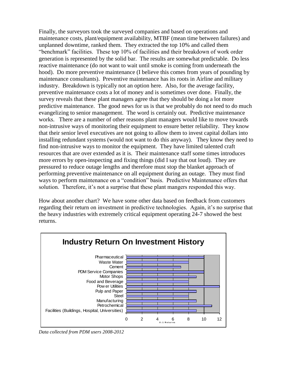Finally, the surveyors took the surveyed companies and based on operations and maintenance costs, plant/equipment availability, MTBF (mean time between failures) and unplanned downtime, ranked them. They extracted the top 10% and called them "benchmark" facilities. These top 10% of facilities and their breakdown of work order generation is represented by the solid bar. The results are somewhat predictable. Do less reactive maintenance (do not want to wait until smoke is coming from underneath the hood). Do more preventive maintenance (I believe this comes from years of pounding by maintenance consultants). Preventive maintenance has its roots in Airline and military industry. Breakdown is typically not an option here. Also, for the average facility, preventive maintenance costs a lot of money and is sometimes over done. Finally, the survey reveals that these plant managers agree that they should be doing a lot more predictive maintenance. The good news for us is that we probably do not need to do much evangelizing to senior management. The word is certainly out. Predictive maintenance works. There are a number of other reasons plant managers would like to move towards non-intrusive ways of monitoring their equipment to ensure better reliability. They know that their senior level executives are not going to allow them to invest capital dollars into installing redundant systems (would not want to do this anyway). They know they need to find non-intrusive ways to monitor the equipment. They have limited talented craft resources that are over extended as it is. Their maintenance staff some times introduces more errors by open-inspecting and fixing things (did I say that out loud). They are pressured to reduce outage lengths and therefore must stop the blanket approach of performing preventive maintenance on all equipment during an outage. They must find ways to perform maintenance on a "condition" basis. Predictive Maintenance offers that solution. Therefore, it's not a surprise that these plant mangers responded this way.

How about another chart? We have some other data based on feedback from customers regarding their return on investment in predictive technologies. Again, it's no surprise that the heavy industries with extremely critical equipment operating 24-7 showed the best returns.



*Data collected from PDM users 2008-2012*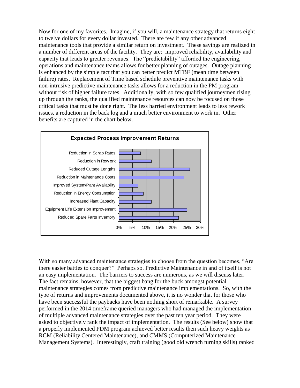Now for one of my favorites. Imagine, if you will, a maintenance strategy that returns eight to twelve dollars for every dollar invested. There are few if any other advanced maintenance tools that provide a similar return on investment. These savings are realized in a number of different areas of the facility. They are: improved reliability, availability and capacity that leads to greater revenues. The "predictability" afforded the engineering, operations and maintenance teams allows for better planning of outages. Outage planning is enhanced by the simple fact that you can better predict MTBF (mean time between failure) rates. Replacement of Time based schedule preventive maintenance tasks with non-intrusive predictive maintenance tasks allows for a reduction in the PM program without risk of higher failure rates. Additionally, with so few qualified journeymen rising up through the ranks, the qualified maintenance resources can now be focused on those critical tasks that must be done right. The less harried environment leads to less rework issues, a reduction in the back log and a much better environment to work in. Other benefits are captured in the chart below.



With so many advanced maintenance strategies to choose from the question becomes, "Are there easier battles to conquer?" Perhaps so. Predictive Maintenance in and of itself is not an easy implementation. The barriers to success are numerous, as we will discuss later. The fact remains, however, that the biggest bang for the buck amongst potential maintenance strategies comes from predictive maintenance implementations. So, with the type of returns and improvements documented above, it is no wonder that for those who have been successful the paybacks have been nothing short of remarkable. A survey performed in the 2014 timeframe queried managers who had managed the implementation of multiple advanced maintenance strategies over the past ten year period. They were asked to objectively rank the impact of implementation. The results (See below) show that a properly implemented PDM program achieved better results then such heavy weights as RCM (Reliability Centered Maintenance), and CMMS (Computerized Maintenance Management Systems). Interestingly, craft training (good old wrench turning skills) ranked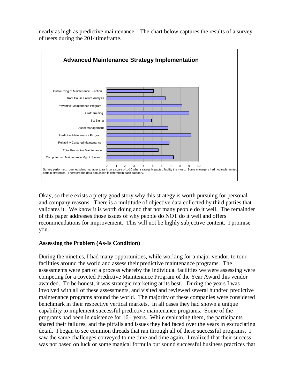



Okay, so there exists a pretty good story why this strategy is worth pursuing for personal and company reasons. There is a multitude of objective data collected by third parties that validates it. We know it is worth doing and that not many people do it well. The remainder of this paper addresses those issues of why people do NOT do it well and offers recommendations for improvement. This will not be highly subjective content. I promise you.

#### **Assessing the Problem (As-Is Condition)**

During the nineties, I had many opportunities, while working for a major vendor, to tour facilities around the world and assess their predictive maintenance programs. The assessments were part of a process whereby the individual facilities we were assessing were competing for a coveted Predictive Maintenance Program of the Year Award this vendor awarded. To be honest, it was strategic marketing at its best. During the years I was involved with all of these assessments, and visited and reviewed several hundred predictive maintenance programs around the world. The majority of these companies were considered benchmark in their respective vertical markets. In all cases they had shown a unique capability to implement successful predictive maintenance programs. Some of the programs had been in existence for 16+ years. While evaluating them, the participants shared their failures, and the pitfalls and issues they had faced over the years in excruciating detail. I began to see common threads that ran through all of these successful programs. I saw the same challenges conveyed to me time and time again. I realized that their success was not based on luck or some magical formula but sound successful business practices that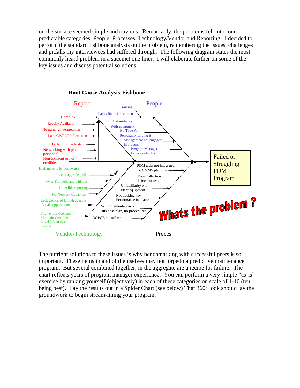on the surface seemed simple and obvious. Remarkably, the problems fell into four predictable categories: People, Processes, Technology/Vendor and Reporting. I decided to perform the standard fishbone analysis on the problem, remembering the issues, challenges and pitfalls my interviewees had suffered through. The following diagram states the most commonly heard problem in a succinct one liner. I will elaborate further on some of the key issues and discuss potential solutions.



#### **Root Cause Analysis-Fishbone**

The outright solutions to these issues is why benchmarking with successful peers is so important. These items in and of themselves may not torpedo a predictive maintenance program. But several combined together, in the aggregate are a recipe for failure. The chart reflects years of program manager experience. You can perform a very simple "as-is" exercise by ranking yourself (objectively) in each of these categories on scale of 1-10 (ten being best). Lay the results out in a Spider Chart (see below) That 360° look should lay the groundwork to begin stream-lining your program.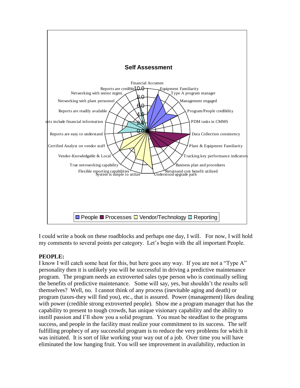

I could write a book on these roadblocks and perhaps one day, I will. For now, I will hold my comments to several points per category. Let's begin with the all important People.

## **PEOPLE:**

I know I will catch some heat for this, but here goes any way. If you are not a "Type A" personality then it is unlikely you will be successful in driving a predictive maintenance program. The program needs an extroverted sales type person who is continually selling the benefits of predictive maintenance. Some will say, yes, but shouldn't the results sell themselves? Well, no. I cannot think of any process (inevitable aging and death) or program (taxes-they will find you), etc., that is assured. Power (management) likes dealing with power (credible strong extroverted people). Show me a program manager that has the capability to present to tough crowds, has unique visionary capability and the ability to instill passion and I'll show you a solid program. You must be steadfast to the programs success, and people in the facility must realize your commitment to its success. The self fulfilling prophecy of any successful program is to reduce the very problems for which it was initiated. It is sort of like working your way out of a job. Over time you will have eliminated the low hanging fruit. You will see improvement in availability, reduction in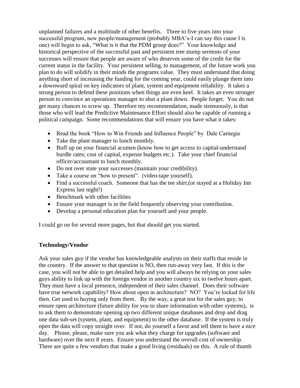unplanned failures and a multitude of other benefits. Three to five years into your successful program, new people/management (probably MBA's-I can say this cause I is one) will begin to ask, "What is it that the PDM group does?" Your knowledge and historical perspective of the successful past and persistent tree stump sermons of your successes will ensure that people are aware of who deserves some of the credit for the current status in the facility. Your persistent selling, to management, of the future work you plan to do will solidify in their minds the programs value. They must understand that doing anything short of increasing the funding for the coming year, could easily plunge them into a downward spiral on key indicators of plant, system and equipment reliability. It takes a strong person to defend these positions when things are even keel. It takes an even stronger person to convince an operations manager to shut a plant down. People forget. You do not get many chances to screw up. Therefore my recommendation, made strenuously, is that those who will lead the Predictive Maintenance Effort should also be capable of running a political campaign. Some recommendations that will ensure you have what it takes:

- Read the book "How to Win Friends and Influence People" by Dale Carnegie
- Take the plant manager to lunch monthly.
- Buff up on your financial acumen (know how to get access to capital-understand hurdle rates; cost of capital, expense budgets etc.). Take your chief financial officer/accountant to lunch monthly.
- Do not over state your successes (maintain your credibility).
- Take a course on "how to present". (video-tape yourself).
- Find a successful coach. Someone that has the tee shirt.(or stayed at a Holiday Inn Express last night!)
- Benchmark with other facilities
- Ensure your manager is in the field frequently observing your contribution.
- Develop a personal education plan for yourself and your people.

I could go on for several more pages, but that should get you started.

#### **Technology/Vendor**

Ask your sales guy if the vendor has knowledgeable analysts on their staffs that reside in the country. If the answer to that question is NO, then run-away very fast. If this is the case, you will not be able to get detailed help and you will always be relying on your sales guys ability to link up with the foreign vendor in another country six to twelve hours apart. They must have a local presence, independent of their sales channel. Does their software have true network capability? How about open in architecture? NO? You're locked for life then. Get used to buying only from them. By the way, a great test for the sales guy, to ensure open architecture (future ability for you to share information with other systems), is to ask them to demonstrate opening up two different unique databases and drop and drag one data sub-set (system, plant, and equipment) to the other database. If the system is truly open the data will copy straight over. If not, do yourself a favor and tell them to have a nice day. Please, please, make sure you ask what they charge for upgrades (software and hardware) over the next 8 years. Ensure you understand the overall cost of ownership. There are quite a few vendors that make a good living (residuals) on this. A rule of thumb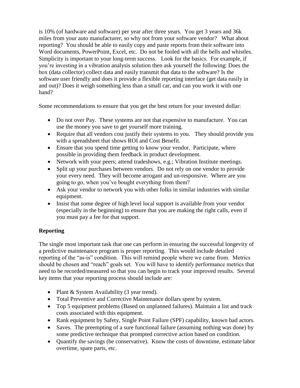is 10% (of hardware and software) per year after three years. You get 3 years and 36k miles from your auto manufacturer, so why not from your software vendor? What about reporting? You should be able to easily copy and paste reports from their software into Word documents, PowerPoint, Excel, etc. Do not be fooled with all the bells and whistles. Simplicity is important to your long-term success. Look for the basics. For example, if you're investing in a vibration analysis solution then ask yourself the following: Does the box (data collector) collect data and easily transmit that data to the software? Is the software user friendly and does it provide a flexible reporting interface (get data easily in and out)? Does it weigh something less than a small car, and can you work it with one hand?

Some recommendations to ensure that you get the best return for your invested dollar:

- Do not over Pay. These systems are not that expensive to manufacture. You can use the money you save to get yourself more training.
- Require that all vendors cost justify their systems to you. They should provide you with a spreadsheet that shows ROI and Cost Benefit.
- Ensure that you spend time getting to know your vendor. Participate, where possible in providing them feedback in product development.
- Network with your peers; attend tradeshows, e.g.; Vibration Institute meetings.
- Split up your purchases between vendors. Do not rely on one vendor to provide your every need. They will become arrogant and un-responsive. Where are you going to go, when you've bought everything from them?
- Ask your vendor to network you with other folks in similar industries with similar equipment.
- Insist that some degree of high level local support is available from your vendor (especially in the beginning) to ensure that you are making the right calls, even if you must pay a fee for that support.

## **Reporting**

The single most important task that one can perform in ensuring the successful longevity of a predictive maintenance program is proper reporting. This would include detailed reporting of the "as-is" condition. This will remind people where we came from. Metrics should be chosen and "reach" goals set. You will have to identify performance metrics that need to be recorded/measured so that you can begin to track your improved results. Several key items that your reporting process should include are:

- Plant & System Availability (3 year trend).
- Total Preventive and Corrective Maintenance dollars spent by system.
- Top 5 equipment problems (Based on unplanned failures). Maintain a list and track costs associated with this equipment.
- Rank equipment by Safety, Single Point Failure (SPF) capability, known bad actors.
- Saves. The preempting of a sure functional failure (assuming nothing was done) by some predictive technique that prompted corrective action based on condition.
- Ouantify the savings (be conservative). Know the costs of downtime, estimate labor overtime, spare parts, etc.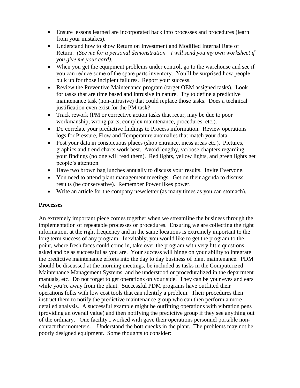- Ensure lessons learned are incorporated back into processes and procedures (learn from your mistakes).
- Understand how to show Return on Investment and Modified Internal Rate of Return*. (See me for a personal demonstration—I will send you my own worksheet if you give me your card).*
- When you get the equipment problems under control, go to the warehouse and see if you can reduce some of the spare parts inventory. You'll be surprised how people bulk up for those incipient failures. Report your success.
- Review the Preventive Maintenance program (target OEM assigned tasks). Look for tasks that are time based and intrusive in nature. Try to define a predictive maintenance task (non-intrusive) that could replace those tasks. Does a technical justification even exist for the PM task?
- Track rework (PM or corrective action tasks that recur, may be due to poor workmanship, wrong parts, complex maintenance, procedures, etc.).
- Do correlate your predictive findings to Process information. Review operations logs for Pressure, Flow and Temperature anomalies that match your data.
- Post your data in conspicuous places (shop entrance, mess areas etc.). Pictures, graphics and trend charts work best. Avoid lengthy, verbose chapters regarding your findings (no one will read them). Red lights, yellow lights, and green lights get people's attention.
- Have two brown bag lunches annually to discuss your results. Invite Everyone.
- You need to attend plant management meetings. Get on their agenda to discuss results (be conservative). Remember Power likes power.
- Write an article for the company newsletter (as many times as you can stomach).

## **Processes**

An extremely important piece comes together when we streamline the business through the implementation of repeatable processes or procedures. Ensuring we are collecting the right information, at the right frequency and in the same locations is extremely important to the long term success of any program. Inevitably, you would like to get the program to the point, where fresh faces could come in, take over the program with very little questions asked and be as successful as you are. Your success will hinge on your ability to integrate the predictive maintenance efforts into the day to day business of plant maintenance. PDM should be discussed at the morning meetings, be included as tasks in the Computerized Maintenance Management Systems, and be understood or proceduralized in the department manuals, etc. Do not forget to get operations on your side. They can be your eyes and ears while you're away from the plant. Successful PDM programs have outfitted their operations folks with low cost tools that can identify a problem. Their procedures then instruct them to notify the predictive maintenance group who can then perform a more detailed analysis. A successful example might be outfitting operations with vibration pens (providing an overall value) and then notifying the predictive group if they see anything out of the ordinary. One facility I worked with gave their operations personnel portable noncontact thermometers. Understand the bottlenecks in the plant. The problems may not be poorly designed equipment. Some thoughts to consider: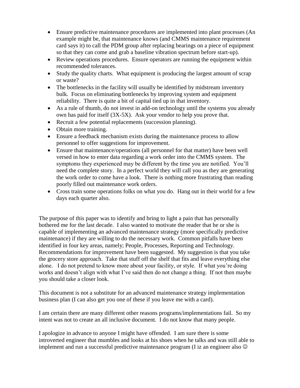- Ensure predictive maintenance procedures are implemented into plant processes (An example might be, that maintenance knows (and CMMS maintenance requirement card says it) to call the PDM group after replacing bearings on a piece of equipment so that they can come and grab a baseline vibration spectrum before start-up).
- Review operations procedures. Ensure operators are running the equipment within recommended tolerances.
- Study the quality charts. What equipment is producing the largest amount of scrap or waste?
- The bottlenecks in the facility will usually be identified by midstream inventory bulk. Focus on eliminating bottlenecks by improving system and equipment reliability. There is quite a bit of capital tied up in that inventory.
- As a rule of thumb, do not invest in add-on technology until the systems you already own has paid for itself (3X-5X). Ask your vendor to help you prove that.
- Recruit a few potential replacements (succession planning).
- Obtain more training.
- Ensure a feedback mechanism exists during the maintenance process to allow personnel to offer suggestions for improvement.
- Ensure that maintenance/operations (all personnel for that matter) have been well versed in how to enter data regarding a work order into the CMMS system. The symptoms they experienced may be different by the time you are notified. You'll need the complete story. In a perfect world they will call you as they are generating the work order to come have a look. There is nothing more frustrating than reading poorly filled out maintenance work orders.
- Cross train some operations folks on what you do. Hang out in their world for a few days each quarter also.

The purpose of this paper was to identify and bring to light a pain that has personally bothered me for the last decade. I also wanted to motivate the reader that he or she is capable of implementing an advanced maintenance strategy (more specifically predictive maintenance) if they are willing to do the necessary work. Common pitfalls have been identified in four key areas, namely; People, Processes, Reporting and Technology. Recommendations for improvement have been suggested. My suggestion is that you take the grocery store approach. Take that stuff off the shelf that fits and leave everything else alone. I do not pretend to know more about your facility, or style. If what you're doing works and doesn't align with what I've said then do not change a thing. If not then maybe you should take a closer look.

This document is not a substitute for an advanced maintenance strategy implementation business plan (I can also get you one of these if you leave me with a card).

I am certain there are many different other reasons programs/implementations fail. So my intent was not to create an all inclusive document. I do not know that many people.

I apologize in advance to anyone I might have offended. I am sure there is some introverted engineer that mumbles and looks at his shoes when he talks and was still able to implement and run a successful predictive maintenance program (I iz an engineer also  $\odot$